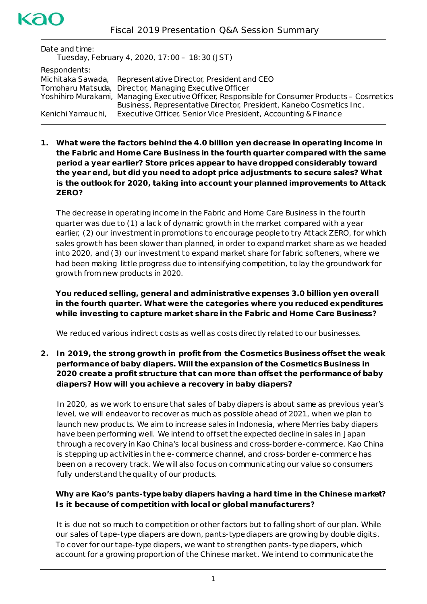| Date and time:<br>Tuesday, February 4, 2020, 17:00 - 18:30 (JST) |                                                                                               |
|------------------------------------------------------------------|-----------------------------------------------------------------------------------------------|
| Respondents:                                                     |                                                                                               |
| Michitaka Sawada,                                                | Representative Director, President and CEO                                                    |
|                                                                  | Tomoharu Matsuda, Director, Managing Executive Officer                                        |
|                                                                  | Yoshihiro Murakami, Managing Executive Officer, Responsible for Consumer Products – Cosmetics |
|                                                                  | Business, Representative Director, President, Kanebo Cosmetics Inc.                           |
| Kenichi Yamauchi,                                                | Executive Officer, Senior Vice President, Accounting & Finance                                |
|                                                                  |                                                                                               |

**1. What were the factors behind the 4.0 billion yen decrease in operating income in the Fabric and Home Care Business in the fourth quarter compared with the same period a year earlier? Store prices appear to have dropped considerably toward the year end, but did you need to adopt price adjustments to secure sales? What is the outlook for 2020, taking into account your planned improvements to** *Attack ZERO***?**

The decrease in operating income in the Fabric and Home Care Business in the fourth quarter was due to (1) a lack of dynamic growth in the market compared with a year earlier, (2) our investment in promotions to encourage people to try *Attack ZERO*, for which sales growth has been slower than planned, in order to expand market share as we headed into 2020, and (3) our investment to expand market share for fabric softeners, where we had been making little progress due to intensifying competition, to lay the groundwork for growth from new products in 2020.

**You reduced selling, general and administrative expenses 3.0 billion yen overall in the fourth quarter. What were the categories where you reduced expenditures while investing to capture market share in the Fabric and Home Care Business?**

We reduced various indirect costs as well as costs directly related to our businesses.

**2. In 2019, the strong growth in profit from the Cosmetics Business offset the weak performance of baby diapers. Will the expansion of the Cosmetics Business in 2020 create a profit structure that can more than offset the performance of baby diapers? How will you achieve a recovery in baby diapers?**

In 2020, as we work to ensure that sales of baby diapers is about same as previous year's level, we will endeavor to recover as much as possible ahead of 2021, when we plan to launch new products. We aim to increase sales in Indonesia, where *Merries* baby diapers have been performing well. We intend to offset the expected decline in sales in Japan through a recovery in Kao China's local business and cross-border e-commerce. Kao China is stepping up activities in the e-commerce channel, and cross-border e-commerce has been on a recovery track. We will also focus on communicating our value so consumers fully understand the quality of our products.

# **Why are Kao's pants-type baby diapers having a hard time in the Chinese market? Is it because of competition with local or global manufacturers?**

It is due not so much to competition or other factors but to falling short of our plan. While our sales of tape-type diapers are down, pants-type diapers are growing by double digits. To cover for our tape-type diapers, we want to strengthen pants-type diapers, which account for a growing proportion of the Chinese market. We intend to communicate the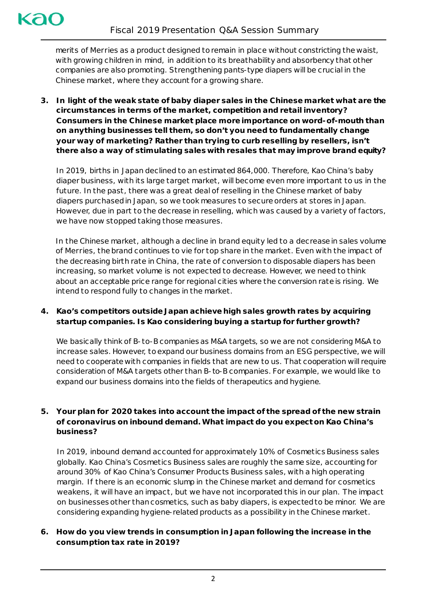merits of *Merries* as a product designed to remain in place without constricting the waist, with growing children in mind, in addition to its breathability and absorbency that other companies are also promoting. Strengthening pants-type diapers will be crucial in the Chinese market, where they account for a growing share.

**3. In light of the weak state of baby diaper sales in the Chinese market what are the circumstances in terms of the market, competition and retail inventory? Consumers in the Chinese market place more importance on word-of-mouth than on anything businesses tell them, so don't you need to fundamentally change your way of marketing? Rather than trying to curb reselling by resellers, isn't there also a way of stimulating sales with resales that may improve brand equity?** 

In 2019, births in Japan declined to an estimated 864,000. Therefore, Kao China's baby diaper business, with its large target market, will become even more important to us in the future. In the past, there was a great deal of reselling in the Chinese market of baby diapers purchased in Japan, so we took measures to secure orders at stores in Japan. However, due in part to the decrease in reselling, which was caused by a variety of factors, we have now stopped taking those measures.

In the Chinese market, although a decline in brand equity led to a decrease in sales volume of *Merries*, the brand continues to vie for top share in the market. Even with the impact of the decreasing birth rate in China, the rate of conversion to disposable diapers has been increasing, so market volume is not expected to decrease. However, we need to think about an acceptable price range for regional cities where the conversion rate is rising. We intend to respond fully to changes in the market.

# **4. Kao's competitors outside Japan achieve high sales growth rates by acquiring startup companies. Is Kao considering buying a startup for further growth?**

We basically think of B-to-B companies as M&A targets, so we are not considering M&A to increase sales. However, to expand our business domains from an ESG perspective, we will need to cooperate with companies in fields that are new to us. That cooperation will require consideration of M&A targets other than B-to-B companies. For example, we would like to expand our business domains into the fields of therapeutics and hygiene.

# **5. Your plan for 2020 takes into account the impact of the spread of the new strain of coronavirus on inbound demand. What impact do you expect on Kao China's business?**

In 2019, inbound demand accounted for approximately 10% of Cosmetics Business sales globally. Kao China's Cosmetics Business sales are roughly the same size, accounting for around 30% of Kao China's Consumer Products Business sales, with a high operating margin. If there is an economic slump in the Chinese market and demand for cosmetics weakens, it will have an impact, but we have not incorporated this in our plan. The impact on businesses other than cosmetics, such as baby diapers, is expected to be minor. We are considering expanding hygiene-related products as a possibility in the Chinese market.

# **6. How do you view trends in consumption in Japan following the increase in the consumption tax rate in 2019?**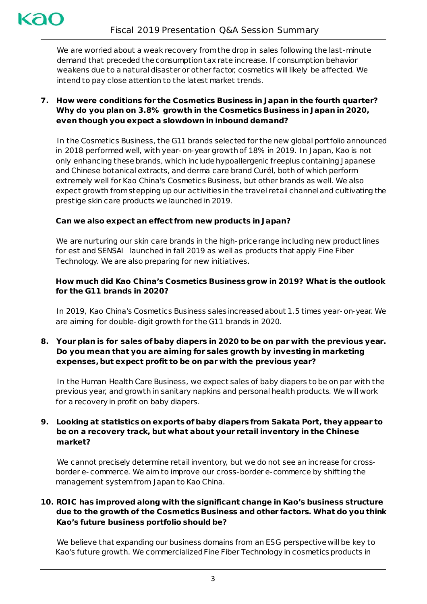We are worried about a weak recovery fromthe drop in sales following the last-minute demand that preceded the consumption tax rate increase. If consumption behavior weakens due to a natural disaster or other factor, cosmetics will likely be affected. We intend to pay close attention to the latest market trends.

**7. How were conditions for the Cosmetics Business in Japan in the fourth quarter? Why do you plan on 3.8% growth in the Cosmetics Business in Japan in 2020, even though you expect a slowdown in inbound demand?**

In the Cosmetics Business, the G11 brands selected for the new global portfolio announced in 2018 performed well, with year-on-year growth of 18% in 2019. In Japan, Kao is not only enhancing these brands, which include hypoallergenic *freeplus* containing Japanese and Chinese botanical extracts, and derma care brand *Curél*, both of which perform extremely well for Kao China's Cosmetics Business, but other brands as well. We also expect growth from stepping up our activities in the travel retail channel and cultivating the prestige skin care products we launched in 2019.

### **Can we also expect an effect from new products in Japan?**

We are nurturing our skin care brands in the high-price range including new product lines for *est* and *SENSAI* launched in fall 2019 as well as products that apply Fine Fiber Technology. We are also preparing for new initiatives.

# **How much did Kao China's Cosmetics Business grow in 2019? What is the outlook for the G11 brands in 2020?**

In 2019, Kao China's Cosmetics Business sales increasedabout 1.5 times year-on-year. We are aiming for double-digit growth for the G11 brands in 2020.

### **8. Your plan is for sales of baby diapers in 2020 to be on par with the previous year. Do you mean that you are aiming for sales growth by investing in marketing expenses, but expect profit to be on par with the previous year?**

In the Human Health Care Business, we expect sales of baby diapers to be on par with the previous year, and growth in sanitary napkins and personal health products. We will work for a recovery in profit on baby diapers.

# **9. Looking at statistics on exports of baby diapers from Sakata Port, they appear to be on a recovery track, but what about your retail inventory in the Chinese market?**

We cannot precisely determine retail inventory, but we do not see an increase for crossborder e-commerce. We aim to improve our cross-border e-commerce by shifting the management systemfrom Japan to Kao China.

# **10. ROIC has improved along with the significant change in Kao's business structure due to the growth of the Cosmetics Business and other factors. What do you think Kao's future business portfolio should be?**

We believe that expanding our business domains from an ESG perspective will be key to Kao's future growth. We commercialized Fine Fiber Technology in cosmetics products in